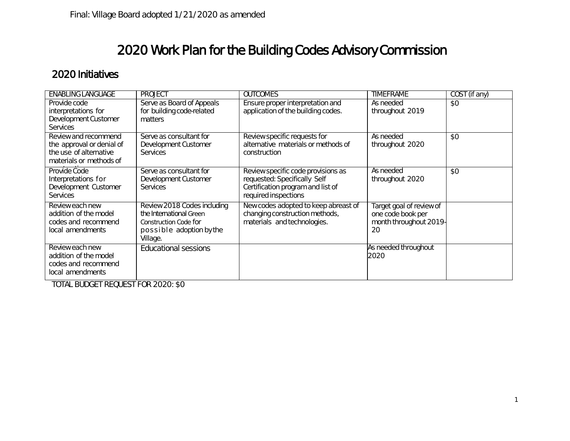## 2020 Work Plan for the Building Codes Advisory Commission

## 2020 Initiatives

| <b>ENABLING LANGUAGE</b>                                                                               | <b>PROJECT</b>                                                                                                          | <b>OUTCOMES</b>                                                                                                                 | <b>TIMEFRAME</b>                                                              | COST (if any) |
|--------------------------------------------------------------------------------------------------------|-------------------------------------------------------------------------------------------------------------------------|---------------------------------------------------------------------------------------------------------------------------------|-------------------------------------------------------------------------------|---------------|
| Provide code<br>interpretations for<br>Development Customer<br><b>Services</b>                         | Serve as Board of Appeals<br>for building code-related<br>matters                                                       | Ensure proper interpretation and<br>application of the building codes.                                                          | As needed<br>throughout 2019                                                  | \$0           |
| Review and recommend<br>the approval or denial of<br>the use of alternative<br>materials or methods of | Serve as consultant for<br>Development Customer<br><b>Services</b>                                                      | Review specific requests for<br>alternative materials or methods of<br>construction                                             | As needed<br>throughout 2020                                                  | \$0           |
| Provide Code<br>Interpretations for<br>Development Customer<br><b>Services</b>                         | Serve as consultant for<br>Development Customer<br><b>Services</b>                                                      | Review specific code provisions as<br>requested: Specifically Self<br>Certification program and list of<br>required inspections | As needed<br>throughout 2020                                                  | \$0           |
| Review each new<br>addition of the model<br>codes and recommend<br>local amendments                    | Review 2018 Codes including<br>the International Green<br>Construction Code for<br>possible adoption by the<br>Village. | New codes adopted to keep abreast of<br>changing construction methods,<br>materials and technologies.                           | Target goal of review of<br>one code book per<br>month throughout 2019-<br>20 |               |
| Review each new<br>addition of the model<br>codes and recommend<br>local amendments                    | <b>Educational sessions</b>                                                                                             |                                                                                                                                 | As needed throughout<br>2020                                                  |               |

TOTAL BUDGET REQUEST FOR 2020: \$0